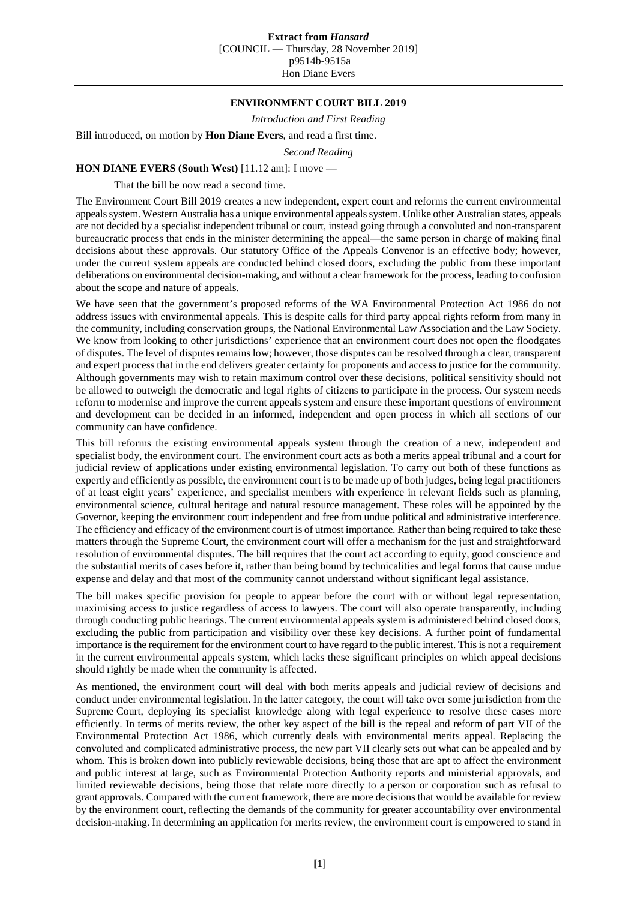## **ENVIRONMENT COURT BILL 2019**

*Introduction and First Reading*

Bill introduced, on motion by **Hon Diane Evers**, and read a first time.

*Second Reading*

## **HON DIANE EVERS (South West)** [11.12 am]: I move —

That the bill be now read a second time.

The Environment Court Bill 2019 creates a new independent, expert court and reforms the current environmental appeals system. Western Australia has a unique environmental appeals system. Unlike other Australian states, appeals are not decided by a specialist independent tribunal or court, instead going through a convoluted and non-transparent bureaucratic process that ends in the minister determining the appeal—the same person in charge of making final decisions about these approvals. Our statutory Office of the Appeals Convenor is an effective body; however, under the current system appeals are conducted behind closed doors, excluding the public from these important deliberations on environmental decision-making, and without a clear framework for the process, leading to confusion about the scope and nature of appeals.

We have seen that the government's proposed reforms of the WA Environmental Protection Act 1986 do not address issues with environmental appeals. This is despite calls for third party appeal rights reform from many in the community, including conservation groups, the National Environmental Law Association and the Law Society. We know from looking to other jurisdictions' experience that an environment court does not open the floodgates of disputes. The level of disputes remains low; however, those disputes can be resolved through a clear, transparent and expert process that in the end delivers greater certainty for proponents and access to justice for the community. Although governments may wish to retain maximum control over these decisions, political sensitivity should not be allowed to outweigh the democratic and legal rights of citizens to participate in the process. Our system needs reform to modernise and improve the current appeals system and ensure these important questions of environment and development can be decided in an informed, independent and open process in which all sections of our community can have confidence.

This bill reforms the existing environmental appeals system through the creation of a new, independent and specialist body, the environment court. The environment court acts as both a merits appeal tribunal and a court for judicial review of applications under existing environmental legislation. To carry out both of these functions as expertly and efficiently as possible, the environment court is to be made up of both judges, being legal practitioners of at least eight years' experience, and specialist members with experience in relevant fields such as planning, environmental science, cultural heritage and natural resource management. These roles will be appointed by the Governor, keeping the environment court independent and free from undue political and administrative interference. The efficiency and efficacy of the environment court is of utmost importance. Rather than being required to take these matters through the Supreme Court, the environment court will offer a mechanism for the just and straightforward resolution of environmental disputes. The bill requires that the court act according to equity, good conscience and the substantial merits of cases before it, rather than being bound by technicalities and legal forms that cause undue expense and delay and that most of the community cannot understand without significant legal assistance.

The bill makes specific provision for people to appear before the court with or without legal representation, maximising access to justice regardless of access to lawyers. The court will also operate transparently, including through conducting public hearings. The current environmental appeals system is administered behind closed doors, excluding the public from participation and visibility over these key decisions. A further point of fundamental importance is the requirement for the environment court to have regard to the public interest. This is not a requirement in the current environmental appeals system, which lacks these significant principles on which appeal decisions should rightly be made when the community is affected.

As mentioned, the environment court will deal with both merits appeals and judicial review of decisions and conduct under environmental legislation. In the latter category, the court will take over some jurisdiction from the Supreme Court, deploying its specialist knowledge along with legal experience to resolve these cases more efficiently. In terms of merits review, the other key aspect of the bill is the repeal and reform of part VII of the Environmental Protection Act 1986, which currently deals with environmental merits appeal. Replacing the convoluted and complicated administrative process, the new part VII clearly sets out what can be appealed and by whom. This is broken down into publicly reviewable decisions, being those that are apt to affect the environment and public interest at large, such as Environmental Protection Authority reports and ministerial approvals, and limited reviewable decisions, being those that relate more directly to a person or corporation such as refusal to grant approvals. Compared with the current framework, there are more decisions that would be available for review by the environment court, reflecting the demands of the community for greater accountability over environmental decision-making. In determining an application for merits review, the environment court is empowered to stand in